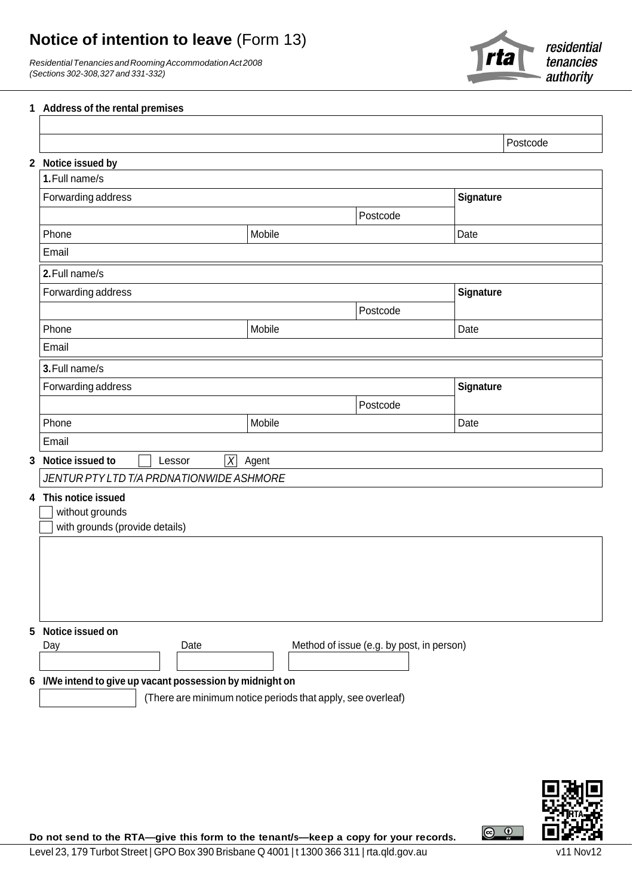## **Notice of intention to leave** (Form 13)

 *Residential Tenancies and Rooming Accommodation Act 2008 (Sections 302-308,327 and 331-332)*



## **1 Address of the rental premises**

 $\sqrt{ }$ 

|                                                                    |                                           | Postcode |
|--------------------------------------------------------------------|-------------------------------------------|----------|
| 2 Notice issued by                                                 |                                           |          |
| 1. Full name/s                                                     |                                           |          |
| Forwarding address                                                 | Signature                                 |          |
|                                                                    | Postcode                                  |          |
| Mobile<br>Phone                                                    |                                           | Date     |
| Email                                                              |                                           |          |
| 2. Full name/s                                                     |                                           |          |
| Forwarding address                                                 | Signature                                 |          |
|                                                                    | Postcode                                  |          |
| Mobile<br>Phone                                                    |                                           | Date     |
| Email                                                              |                                           |          |
| 3. Full name/s                                                     |                                           |          |
| Forwarding address                                                 |                                           |          |
|                                                                    | Postcode                                  |          |
| Phone<br>Mobile                                                    |                                           | Date     |
| Email                                                              |                                           |          |
| Notice issued to<br>$\overline{\mid \chi \mid}$<br>Agent<br>Lessor |                                           |          |
| JENTUR PTY LTD T/A PRDNATIONWIDE ASHMORE                           |                                           |          |
| 4 This notice issued                                               |                                           |          |
| without grounds                                                    |                                           |          |
| with grounds (provide details)                                     |                                           |          |
|                                                                    |                                           |          |
|                                                                    |                                           |          |
|                                                                    |                                           |          |
|                                                                    |                                           |          |
| Notice issued on                                                   |                                           |          |
| Date<br>Day                                                        | Method of issue (e.g. by post, in person) |          |
|                                                                    |                                           |          |
|                                                                    |                                           |          |



 $\bigoplus$ 

**Do not send to the RTA—give this form to the tenant/s—keep a copy for your records.**